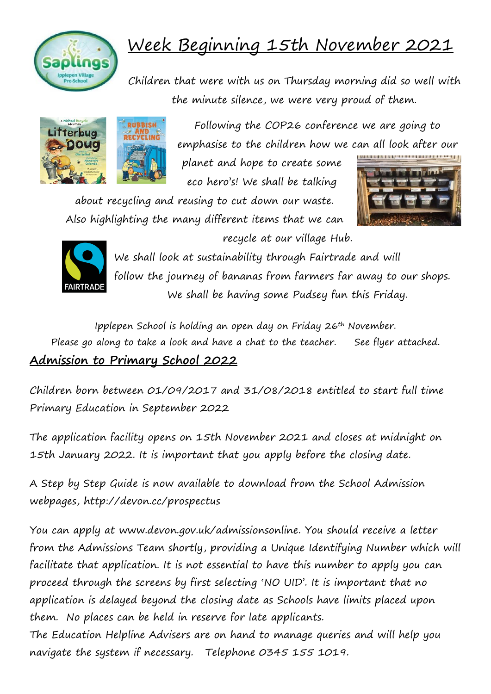

## Week Beginning 15th November 2021

Children that were with us on Thursday morning did so well with the minute silence, we were very proud of them.



Following the COP26 conference we are going to emphasise to the children how we can all look after our

planet and hope to create some eco hero's! We shall be talking

about recycling and reusing to cut down our waste. Also highlighting the many different items that we can





recycle at our village Hub.

We shall look at sustainability through Fairtrade and will follow the journey of bananas from farmers far away to our shops. We shall be having some Pudsey fun this Friday.

Ipplepen School is holding an open day on Friday 26th November. Please go along to take a look and have a chat to the teacher. See flyer attached. **Admission to Primary School 2022**

Children born between 01/09/2017 and 31/08/2018 entitled to start full time Primary Education in September 2022

The application facility opens on 15th November 2021 and closes at midnight on 15th January 2022. It is important that you apply before the closing date.

A Step by Step Guide is now available to download from the School Admission webpages, http://devon.cc/prospectus

You can apply at www.devon.gov.uk/admissionsonline. You should receive a letter from the Admissions Team shortly, providing a Unique Identifying Number which will facilitate that application. It is not essential to have this number to apply you can proceed through the screens by first selecting 'NO UID'. It is important that no application is delayed beyond the closing date as Schools have limits placed upon them. No places can be held in reserve for late applicants.

The Education Helpline Advisers are on hand to manage queries and will help you navigate the system if necessary. Telephone 0345 155 1019.